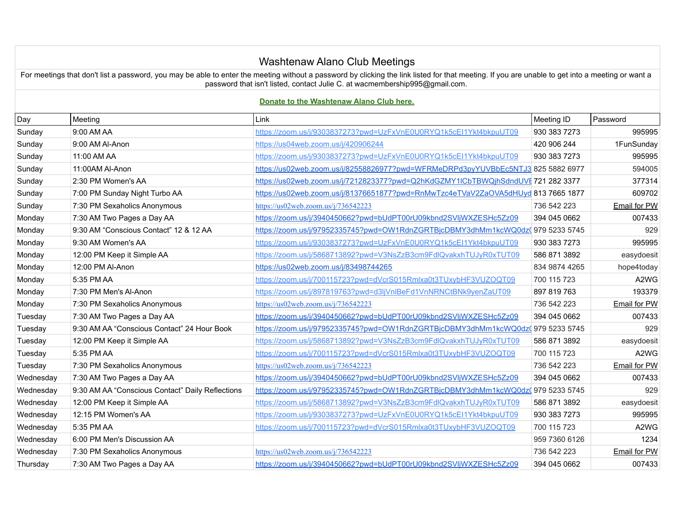## Washtenaw Alano Club Meetings

For meetings that don't list a password, you may be able to enter the meeting without a password by clicking the link listed for that meeting. If you are unable to get into a meeting or want a password that isn't listed, contact Julie C. at wacmembership995@gmail.com.

## **[Donate to the Washtenaw Alano Club here.](https://www.paypal.com/donate/?token=PKcIt4LGgugLHPrZ6uEVXfWjV0LJpjfYlDtBmQ8S9-bbzEXq0dpO8AH3RmZ5MjBzPmAY5G&country.x=US&locale.x=US)**

| Day       | Meeting                                          | Link                                                                              | Meeting ID    | Password                      |
|-----------|--------------------------------------------------|-----------------------------------------------------------------------------------|---------------|-------------------------------|
| Sunday    | 9:00 AM AA                                       | https://zoom.us/j/9303837273?pwd=UzFxVnE0U0RYQ1k5cEl1Ykt4bkpuUT09                 | 930 383 7273  | 995995                        |
| Sunday    | 9:00 AM Al-Anon                                  | https://us04web.zoom.us/i/420906244                                               | 420 906 244   | 1FunSunday                    |
| Sunday    | 11:00 AM AA                                      | https://zoom.us/j/9303837273?pwd=UzFxVnE0U0RYQ1k5cEI1Ykt4bkpuUT09                 | 930 383 7273  | 995995                        |
| Sunday    | 11:00AM Al-Anon                                  | https://us02web.zoom.us/j/82558826977?pwd=WFRMeDRPd3pyYUVBbEc5NTJ3 825 5882 6977  |               | 594005                        |
| Sunday    | 2:30 PM Women's AA                               | https://us02web.zoom.us/j/7212823377?pwd=Q2hKdGZMY1lCbTBWQjhSdndUVE721 282 3377   |               | 377314                        |
| Sunday    | 7:00 PM Sunday Night Turbo AA                    | https://us02web.zoom.us/j/81376651877?pwd=RnMwTzc4eTVaV2ZaOVA5dHUyd 813 7665 1877 |               | 609702                        |
| Sunday    | 7:30 PM Sexaholics Anonymous                     | https://us02web.zoom.us/j/736542223                                               | 736 542 223   | Email for PW                  |
| Monday    | 7:30 AM Two Pages a Day AA                       | https://zoom.us/j/3940450662?pwd=bUdPT00rU09kbnd2SVIjWXZESHc5Zz09                 | 394 045 0662  | 007433                        |
| Monday    | 9:30 AM "Conscious Contact" 12 & 12 AA           | https://zoom.us/j/97952335745?pwd=OW1RdnZGRTBjcDBMY3dhMm1kcWQ0dz(979 5233 5745    |               | 929                           |
| Monday    | 9:30 AM Women's AA                               | https://zoom.us/j/9303837273?pwd=UzFxVnE0U0RYQ1k5cEI1Ykt4bkpuUT09                 | 930 383 7273  | 995995                        |
| Monday    | 12:00 PM Keep it Simple AA                       | https://zoom.us/j/5868713892?pwd=V3NsZzB3cm9FdlQvakxhTUJyR0xTUT09                 | 586 871 3892  | easydoesit                    |
| Monday    | 12:00 PM Al-Anon                                 | https://us02web.zoom.us/j/83498744265                                             | 834 9874 4265 | hope4today                    |
| Monday    | 5:35 PM AA                                       | https://zoom.us/j/700115723?pwd=dVcrS015Rmlxa0t3TUxybHF3VUZOQT09                  | 700 115 723   | A <sub>2</sub> W <sub>G</sub> |
| Monday    | 7:30 PM Men's Al-Anon                            | https://zoom.us/j/897819763?pwd=d3ljVnlBeFd1VnNRNCtBNk9yenZaUT09                  | 897 819 763   | 193379                        |
| Monday    | 7:30 PM Sexaholics Anonymous                     | https://us02web.zoom.us/j/736542223                                               | 736 542 223   | <b>Email for PW</b>           |
| Tuesday   | 7:30 AM Two Pages a Day AA                       | https://zoom.us/j/3940450662?pwd=bUdPT00rU09kbnd2SVIjWXZESHc5Zz09                 | 394 045 0662  | 007433                        |
| Tuesday   | 9:30 AM AA "Conscious Contact" 24 Hour Book      | https://zoom.us/j/97952335745?pwd=OW1RdnZGRTBjcDBMY3dhMm1kcWQ0dz( 979 5233 5745   |               | 929                           |
| Tuesday   | 12:00 PM Keep it Simple AA                       | https://zoom.us/j/5868713892?pwd=V3NsZzB3cm9FdlQvakxhTUJyR0xTUT09                 | 586 871 3892  | easydoesit                    |
| Tuesday   | 5:35 PM AA                                       | https://zoom.us/j/700115723?pwd=dVcrS015Rmlxa0t3TUxybHF3VUZOQT09                  | 700 115 723   | A2WG                          |
| Tuesday   | 7:30 PM Sexaholics Anonymous                     | https://us02web.zoom.us/j/736542223                                               | 736 542 223   | <b>Email for PW</b>           |
| Wednesday | 7:30 AM Two Pages a Day AA                       | https://zoom.us/j/3940450662?pwd=bUdPT00rU09kbnd2SVIjWXZESHc5Zz09                 | 394 045 0662  | 007433                        |
| Wednesday | 9:30 AM AA "Conscious Contact" Daily Reflections | https://zoom.us/j/97952335745?pwd=OW1RdnZGRTBjcDBMY3dhMm1kcWQ0dz(979 5233 5745    |               | 929                           |
| Wednesday | 12:00 PM Keep it Simple AA                       | https://zoom.us/j/5868713892?pwd=V3NsZzB3cm9FdlQvakxhTUJyR0xTUT09                 | 586 871 3892  | easydoesit                    |
| Wednesday | 12:15 PM Women's AA                              | https://zoom.us/j/9303837273?pwd=UzFxVnE0U0RYQ1k5cEl1Ykt4bkpuUT09                 | 930 383 7273  | 995995                        |
| Wednesday | 5:35 PM AA                                       | https://zoom.us/j/700115723?pwd=dVcrS015Rmlxa0t3TUxybHF3VUZOQT09                  | 700 115 723   | A2WG                          |
| Wednesday | 6:00 PM Men's Discussion AA                      |                                                                                   | 959 7360 6126 | 1234                          |
| Wednesday | 7:30 PM Sexaholics Anonymous                     | https://us02web.zoom.us/j/736542223                                               | 736 542 223   | <b>Email for PW</b>           |
| Thursday  | 7:30 AM Two Pages a Day AA                       | https://zoom.us/j/3940450662?pwd=bUdPT00rU09kbnd2SVIjWXZESHc5Zz09                 | 394 045 0662  | 007433                        |